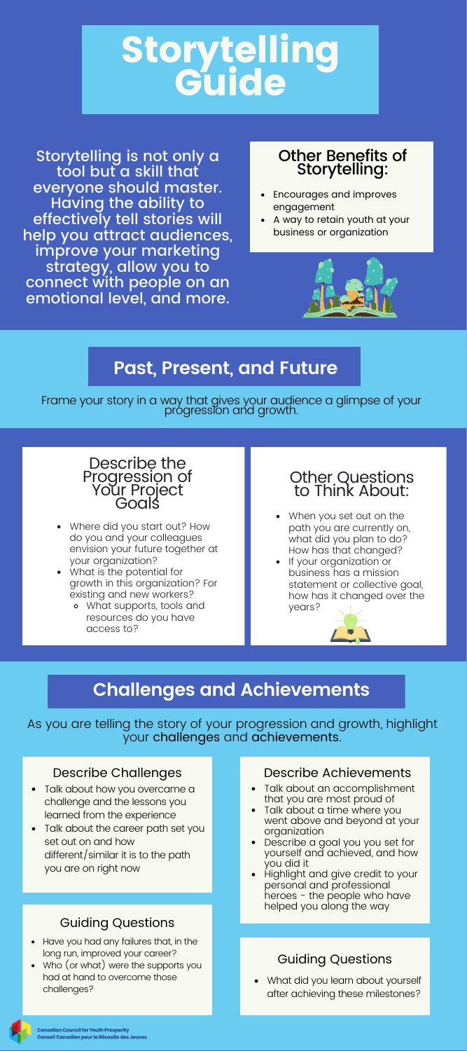

Storytelling is not only a tool but a skill that everyone should master. Having the ability to effectively tell stories will help you attract audiences, improve your marketing strategy, allow you to connect with people on an emotional level, and more.

### Other Benefits of Storytelling:

- Encourages and improves engagement
- A way to retain youth at your business or organization



# **Past, Present, and Future**

Frame your story in a way that gives your audience a glimpse of your progression and growth.



- Where did you start out? How do you and your colleagues envision your future together at your organization?
- What is the potential for growth in this organization? For existing and new workers?
	- What supports, tools and resources do you have access to?

# Other Questions to Think About:

- When you set out on the path you are currently on, what did you plan to do? How has that changed?
- If your organization or business has a mission statement or collective goal, how has it changed over the years?



# **Challenges and Achievements**

As you are telling the story of your progression and growth, highlight your challenges and achievements.

#### Describe Challenges

- Talk about how you overcame a challenge and the lessons you learned from the experience
- Talk about the career path set you set out on and how different/similar it is to the path you are on right now

### Guiding Questions

- Have you had any failures that, in the long run, improved your career?
- Who (or what) were the supports you had at hand to overcome those challenges?

#### Describe Achievements

- Talk about an accomplishment that you are most proud of
- Talk about a time where you<br>went above and beyond at your organization
- Describe a goal you you set for yourself and achieved, and how
- you did it Highlight and give credit to your personal and professional heroes - the people who have helped you along the way

## Guiding Questions

What did you learn about yourself after achieving these milestones?